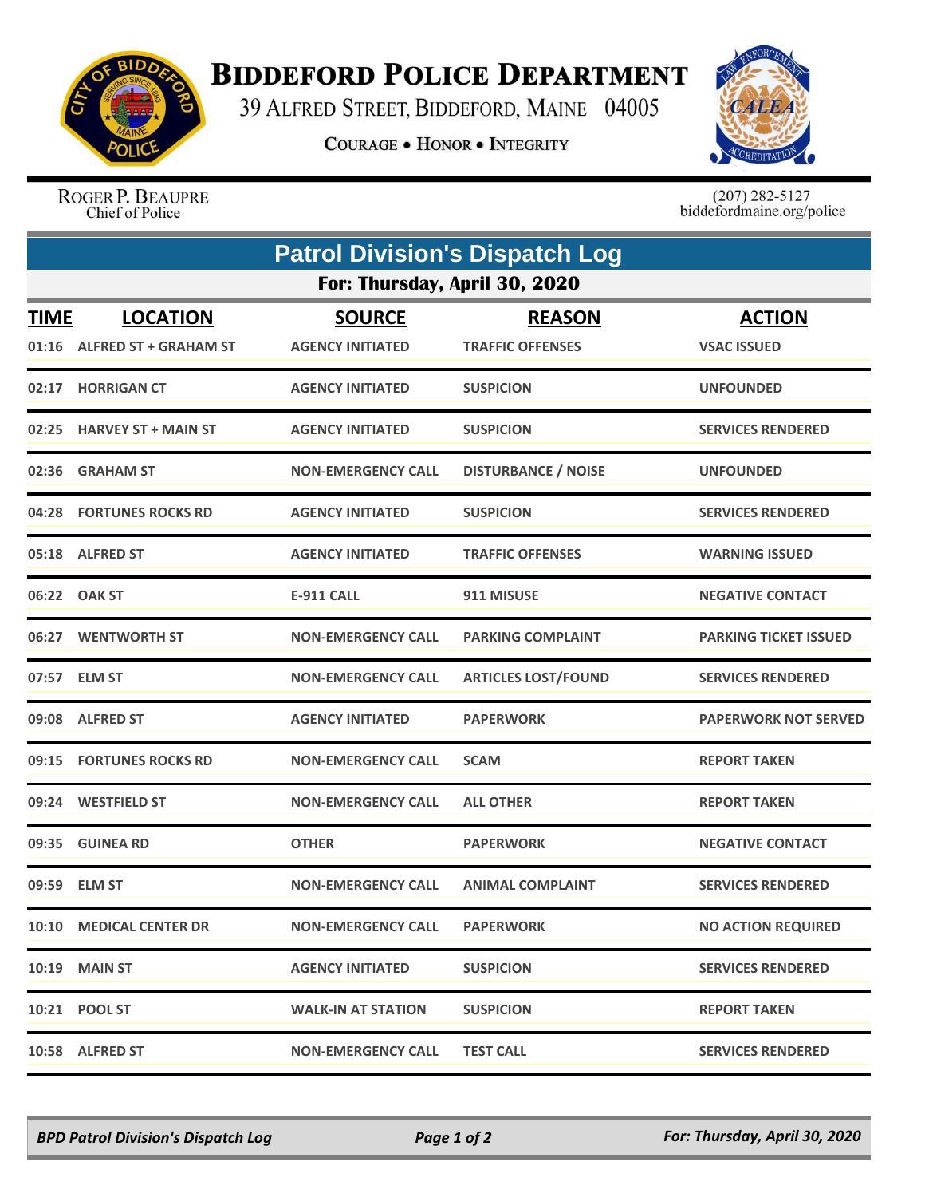

## **BIDDEFORD POLICE DEPARTMENT**

39 ALFRED STREET, BIDDEFORD, MAINE 04005

**COURAGE . HONOR . INTEGRITY** 



ROGER P. BEAUPRE Chief of Police

 $(207)$  282-5127<br>biddefordmaine.org/police

|                               | <b>Patrol Division's Dispatch Log</b> |                           |                            |                              |  |  |  |  |
|-------------------------------|---------------------------------------|---------------------------|----------------------------|------------------------------|--|--|--|--|
| For: Thursday, April 30, 2020 |                                       |                           |                            |                              |  |  |  |  |
| <u>TIME</u>                   | <b>LOCATION</b>                       | <b>SOURCE</b>             | <b>REASON</b>              | <b>ACTION</b>                |  |  |  |  |
| 01:16                         | <b>ALFRED ST + GRAHAM ST</b>          | <b>AGENCY INITIATED</b>   | <b>TRAFFIC OFFENSES</b>    | <b>VSAC ISSUED</b>           |  |  |  |  |
| 02:17                         | <b>HORRIGAN CT</b>                    | <b>AGENCY INITIATED</b>   | <b>SUSPICION</b>           | <b>UNFOUNDED</b>             |  |  |  |  |
|                               | 02:25 HARVEY ST + MAIN ST             | <b>AGENCY INITIATED</b>   | <b>SUSPICION</b>           | <b>SERVICES RENDERED</b>     |  |  |  |  |
| 02:36                         | <b>GRAHAM ST</b>                      | <b>NON-EMERGENCY CALL</b> | <b>DISTURBANCE / NOISE</b> | <b>UNFOUNDED</b>             |  |  |  |  |
|                               | 04:28 FORTUNES ROCKS RD               | <b>AGENCY INITIATED</b>   | <b>SUSPICION</b>           | <b>SERVICES RENDERED</b>     |  |  |  |  |
|                               | 05:18 ALFRED ST                       | <b>AGENCY INITIATED</b>   | <b>TRAFFIC OFFENSES</b>    | <b>WARNING ISSUED</b>        |  |  |  |  |
|                               | 06:22 OAK ST                          | <b>E-911 CALL</b>         | 911 MISUSE                 | <b>NEGATIVE CONTACT</b>      |  |  |  |  |
|                               | 06:27 WENTWORTH ST                    | <b>NON-EMERGENCY CALL</b> | <b>PARKING COMPLAINT</b>   | <b>PARKING TICKET ISSUED</b> |  |  |  |  |
|                               | 07:57 ELM ST                          | <b>NON-EMERGENCY CALL</b> | <b>ARTICLES LOST/FOUND</b> | <b>SERVICES RENDERED</b>     |  |  |  |  |
|                               | 09:08 ALFRED ST                       | <b>AGENCY INITIATED</b>   | <b>PAPERWORK</b>           | <b>PAPERWORK NOT SERVED</b>  |  |  |  |  |
| 09:15                         | <b>FORTUNES ROCKS RD</b>              | <b>NON-EMERGENCY CALL</b> | <b>SCAM</b>                | <b>REPORT TAKEN</b>          |  |  |  |  |
| 09:24                         | <b>WESTFIELD ST</b>                   | <b>NON-EMERGENCY CALL</b> | <b>ALL OTHER</b>           | <b>REPORT TAKEN</b>          |  |  |  |  |
| 09:35                         | <b>GUINEA RD</b>                      | <b>OTHER</b>              | <b>PAPERWORK</b>           | <b>NEGATIVE CONTACT</b>      |  |  |  |  |
|                               | 09:59 ELM ST                          | <b>NON-EMERGENCY CALL</b> | <b>ANIMAL COMPLAINT</b>    | <b>SERVICES RENDERED</b>     |  |  |  |  |
|                               | 10:10 MEDICAL CENTER DR               | <b>NON-EMERGENCY CALL</b> | <b>PAPERWORK</b>           | <b>NO ACTION REQUIRED</b>    |  |  |  |  |
|                               | <b>10:19 MAIN ST</b>                  | <b>AGENCY INITIATED</b>   | <b>SUSPICION</b>           | <b>SERVICES RENDERED</b>     |  |  |  |  |
|                               | 10:21 POOL ST                         | <b>WALK-IN AT STATION</b> | <b>SUSPICION</b>           | <b>REPORT TAKEN</b>          |  |  |  |  |
|                               | 10:58 ALFRED ST                       | <b>NON-EMERGENCY CALL</b> | <b>TEST CALL</b>           | <b>SERVICES RENDERED</b>     |  |  |  |  |